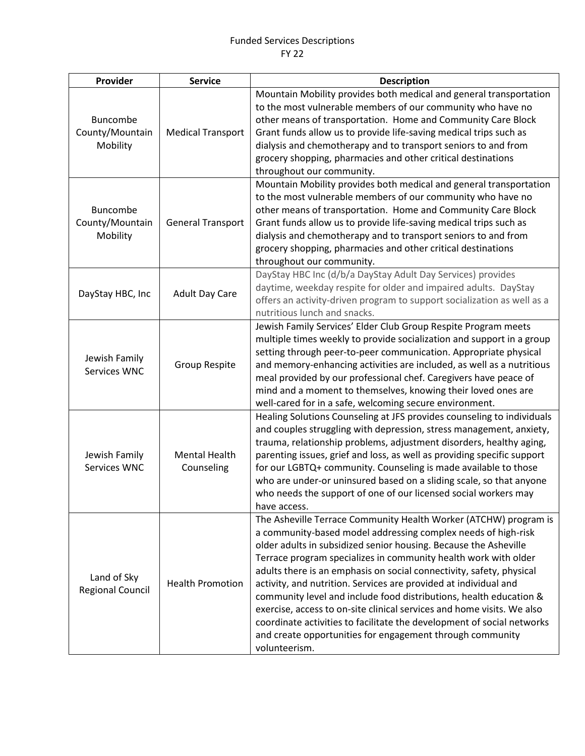| Provider                                       | <b>Service</b>                     | <b>Description</b>                                                                                                                                                                                                                                                                                                                                                                                                                                                                                                                                                                                                                                                                                                           |
|------------------------------------------------|------------------------------------|------------------------------------------------------------------------------------------------------------------------------------------------------------------------------------------------------------------------------------------------------------------------------------------------------------------------------------------------------------------------------------------------------------------------------------------------------------------------------------------------------------------------------------------------------------------------------------------------------------------------------------------------------------------------------------------------------------------------------|
| Buncombe<br>County/Mountain<br>Mobility        | <b>Medical Transport</b>           | Mountain Mobility provides both medical and general transportation<br>to the most vulnerable members of our community who have no<br>other means of transportation. Home and Community Care Block<br>Grant funds allow us to provide life-saving medical trips such as<br>dialysis and chemotherapy and to transport seniors to and from<br>grocery shopping, pharmacies and other critical destinations<br>throughout our community.                                                                                                                                                                                                                                                                                        |
| <b>Buncombe</b><br>County/Mountain<br>Mobility | <b>General Transport</b>           | Mountain Mobility provides both medical and general transportation<br>to the most vulnerable members of our community who have no<br>other means of transportation. Home and Community Care Block<br>Grant funds allow us to provide life-saving medical trips such as<br>dialysis and chemotherapy and to transport seniors to and from<br>grocery shopping, pharmacies and other critical destinations<br>throughout our community.                                                                                                                                                                                                                                                                                        |
| DayStay HBC, Inc                               | <b>Adult Day Care</b>              | DayStay HBC Inc (d/b/a DayStay Adult Day Services) provides<br>daytime, weekday respite for older and impaired adults. DayStay<br>offers an activity-driven program to support socialization as well as a<br>nutritious lunch and snacks.                                                                                                                                                                                                                                                                                                                                                                                                                                                                                    |
| Jewish Family<br>Services WNC                  | <b>Group Respite</b>               | Jewish Family Services' Elder Club Group Respite Program meets<br>multiple times weekly to provide socialization and support in a group<br>setting through peer-to-peer communication. Appropriate physical<br>and memory-enhancing activities are included, as well as a nutritious<br>meal provided by our professional chef. Caregivers have peace of<br>mind and a moment to themselves, knowing their loved ones are<br>well-cared for in a safe, welcoming secure environment.                                                                                                                                                                                                                                         |
| Jewish Family<br>Services WNC                  | <b>Mental Health</b><br>Counseling | Healing Solutions Counseling at JFS provides counseling to individuals<br>and couples struggling with depression, stress management, anxiety,<br>trauma, relationship problems, adjustment disorders, healthy aging,<br>parenting issues, grief and loss, as well as providing specific support<br>for our LGBTQ+ community. Counseling is made available to those<br>who are under-or uninsured based on a sliding scale, so that anyone<br>who needs the support of one of our licensed social workers may<br>have access.                                                                                                                                                                                                 |
| Land of Sky<br><b>Regional Council</b>         | <b>Health Promotion</b>            | The Asheville Terrace Community Health Worker (ATCHW) program is<br>a community-based model addressing complex needs of high-risk<br>older adults in subsidized senior housing. Because the Asheville<br>Terrace program specializes in community health work with older<br>adults there is an emphasis on social connectivity, safety, physical<br>activity, and nutrition. Services are provided at individual and<br>community level and include food distributions, health education &<br>exercise, access to on-site clinical services and home visits. We also<br>coordinate activities to facilitate the development of social networks<br>and create opportunities for engagement through community<br>volunteerism. |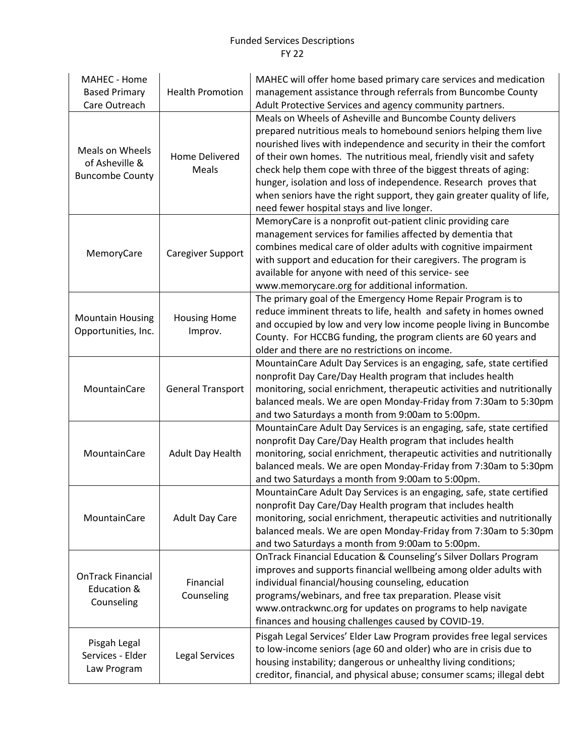## Funded Services Descriptions FY 22

| MAHEC - Home<br><b>Based Primary</b><br>Care Outreach            | <b>Health Promotion</b>        | MAHEC will offer home based primary care services and medication<br>management assistance through referrals from Buncombe County<br>Adult Protective Services and agency community partners.                                                                                                                                                                                                                                                                                                                                                |
|------------------------------------------------------------------|--------------------------------|---------------------------------------------------------------------------------------------------------------------------------------------------------------------------------------------------------------------------------------------------------------------------------------------------------------------------------------------------------------------------------------------------------------------------------------------------------------------------------------------------------------------------------------------|
| Meals on Wheels<br>of Asheville &<br><b>Buncombe County</b>      | <b>Home Delivered</b><br>Meals | Meals on Wheels of Asheville and Buncombe County delivers<br>prepared nutritious meals to homebound seniors helping them live<br>nourished lives with independence and security in their the comfort<br>of their own homes. The nutritious meal, friendly visit and safety<br>check help them cope with three of the biggest threats of aging:<br>hunger, isolation and loss of independence. Research proves that<br>when seniors have the right support, they gain greater quality of life,<br>need fewer hospital stays and live longer. |
| MemoryCare                                                       | Caregiver Support              | MemoryCare is a nonprofit out-patient clinic providing care<br>management services for families affected by dementia that<br>combines medical care of older adults with cognitive impairment<br>with support and education for their caregivers. The program is<br>available for anyone with need of this service- see<br>www.memorycare.org for additional information.                                                                                                                                                                    |
| <b>Mountain Housing</b><br>Opportunities, Inc.                   | <b>Housing Home</b><br>Improv. | The primary goal of the Emergency Home Repair Program is to<br>reduce imminent threats to life, health and safety in homes owned<br>and occupied by low and very low income people living in Buncombe<br>County. For HCCBG funding, the program clients are 60 years and<br>older and there are no restrictions on income.                                                                                                                                                                                                                  |
| MountainCare                                                     | <b>General Transport</b>       | MountainCare Adult Day Services is an engaging, safe, state certified<br>nonprofit Day Care/Day Health program that includes health<br>monitoring, social enrichment, therapeutic activities and nutritionally<br>balanced meals. We are open Monday-Friday from 7:30am to 5:30pm<br>and two Saturdays a month from 9:00am to 5:00pm.                                                                                                                                                                                                       |
| MountainCare                                                     | Adult Day Health               | MountainCare Adult Day Services is an engaging, safe, state certified<br>nonprofit Day Care/Day Health program that includes health<br>monitoring, social enrichment, therapeutic activities and nutritionally<br>balanced meals. We are open Monday-Friday from 7:30am to 5:30pm<br>and two Saturdays a month from 9:00am to 5:00pm.                                                                                                                                                                                                       |
| MountainCare                                                     | <b>Adult Day Care</b>          | MountainCare Adult Day Services is an engaging, safe, state certified<br>nonprofit Day Care/Day Health program that includes health<br>monitoring, social enrichment, therapeutic activities and nutritionally<br>balanced meals. We are open Monday-Friday from 7:30am to 5:30pm<br>and two Saturdays a month from 9:00am to 5:00pm.                                                                                                                                                                                                       |
| <b>OnTrack Financial</b><br><b>Education &amp;</b><br>Counseling | Financial<br>Counseling        | OnTrack Financial Education & Counseling's Silver Dollars Program<br>improves and supports financial wellbeing among older adults with<br>individual financial/housing counseling, education<br>programs/webinars, and free tax preparation. Please visit<br>www.ontrackwnc.org for updates on programs to help navigate<br>finances and housing challenges caused by COVID-19.                                                                                                                                                             |
| Pisgah Legal<br>Services - Elder<br>Law Program                  | Legal Services                 | Pisgah Legal Services' Elder Law Program provides free legal services<br>to low-income seniors (age 60 and older) who are in crisis due to<br>housing instability; dangerous or unhealthy living conditions;<br>creditor, financial, and physical abuse; consumer scams; illegal debt                                                                                                                                                                                                                                                       |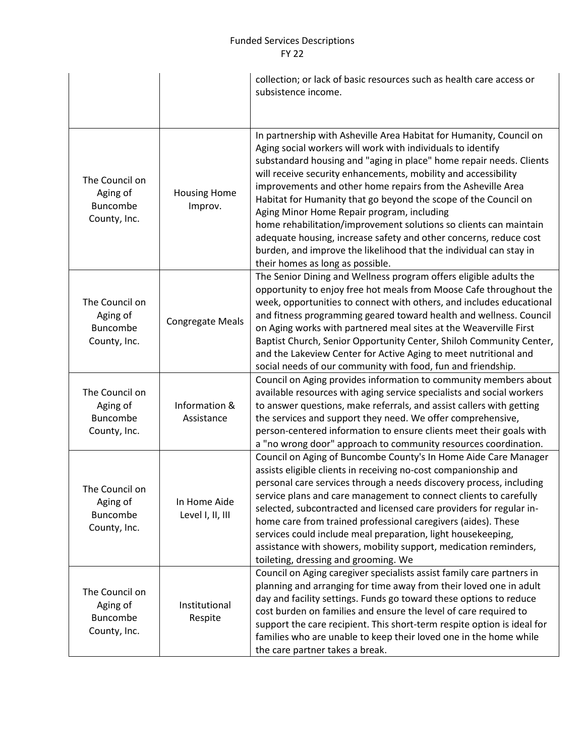## Funded Services Descriptions FY 22

|                                                               |                                  | collection; or lack of basic resources such as health care access or<br>subsistence income.                                                                                                                                                                                                                                                                                                                                                                                                                                                                                                                                                                                                                     |
|---------------------------------------------------------------|----------------------------------|-----------------------------------------------------------------------------------------------------------------------------------------------------------------------------------------------------------------------------------------------------------------------------------------------------------------------------------------------------------------------------------------------------------------------------------------------------------------------------------------------------------------------------------------------------------------------------------------------------------------------------------------------------------------------------------------------------------------|
| The Council on<br>Aging of<br>Buncombe<br>County, Inc.        | <b>Housing Home</b><br>Improv.   | In partnership with Asheville Area Habitat for Humanity, Council on<br>Aging social workers will work with individuals to identify<br>substandard housing and "aging in place" home repair needs. Clients<br>will receive security enhancements, mobility and accessibility<br>improvements and other home repairs from the Asheville Area<br>Habitat for Humanity that go beyond the scope of the Council on<br>Aging Minor Home Repair program, including<br>home rehabilitation/improvement solutions so clients can maintain<br>adequate housing, increase safety and other concerns, reduce cost<br>burden, and improve the likelihood that the individual can stay in<br>their homes as long as possible. |
| The Council on<br>Aging of<br><b>Buncombe</b><br>County, Inc. | <b>Congregate Meals</b>          | The Senior Dining and Wellness program offers eligible adults the<br>opportunity to enjoy free hot meals from Moose Cafe throughout the<br>week, opportunities to connect with others, and includes educational<br>and fitness programming geared toward health and wellness. Council<br>on Aging works with partnered meal sites at the Weaverville First<br>Baptist Church, Senior Opportunity Center, Shiloh Community Center,<br>and the Lakeview Center for Active Aging to meet nutritional and<br>social needs of our community with food, fun and friendship.                                                                                                                                           |
| The Council on<br>Aging of<br>Buncombe<br>County, Inc.        | Information &<br>Assistance      | Council on Aging provides information to community members about<br>available resources with aging service specialists and social workers<br>to answer questions, make referrals, and assist callers with getting<br>the services and support they need. We offer comprehensive,<br>person-centered information to ensure clients meet their goals with<br>a "no wrong door" approach to community resources coordination.                                                                                                                                                                                                                                                                                      |
| The Council on<br>Aging of<br><b>Buncombe</b><br>County, Inc. | In Home Aide<br>Level I, II, III | Council on Aging of Buncombe County's In Home Aide Care Manager<br>assists eligible clients in receiving no-cost companionship and<br>personal care services through a needs discovery process, including<br>service plans and care management to connect clients to carefully<br>selected, subcontracted and licensed care providers for regular in-<br>home care from trained professional caregivers (aides). These<br>services could include meal preparation, light housekeeping,<br>assistance with showers, mobility support, medication reminders,<br>toileting, dressing and grooming. We                                                                                                              |
| The Council on<br>Aging of<br><b>Buncombe</b><br>County, Inc. | Institutional<br>Respite         | Council on Aging caregiver specialists assist family care partners in<br>planning and arranging for time away from their loved one in adult<br>day and facility settings. Funds go toward these options to reduce<br>cost burden on families and ensure the level of care required to<br>support the care recipient. This short-term respite option is ideal for<br>families who are unable to keep their loved one in the home while<br>the care partner takes a break.                                                                                                                                                                                                                                        |